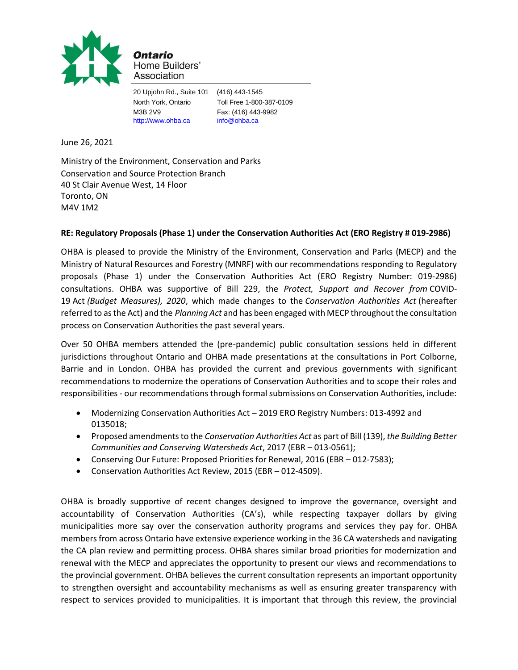

Ontario Home Builders' Association

20 Upjohn Rd., Suite 101 (416) 443-1545 North York, Ontario Toll Free 1-800-387-0109 M3B 2V9 Fax: (416) 443-9982 [http://www.ohba.ca](http://www.ohba.ca/) [info@ohba.ca](mailto:info@ohba.ca)

June 26, 2021

Ministry of the Environment, Conservation and Parks Conservation and Source Protection Branch 40 St Clair Avenue West, 14 Floor Toronto, ON M4V 1M2

# **RE: Regulatory Proposals (Phase 1) under the Conservation Authorities Act (ERO Registry # 019-2986)**

OHBA is pleased to provide the Ministry of the Environment, Conservation and Parks (MECP) and the Ministry of Natural Resources and Forestry (MNRF) with our recommendations responding to Regulatory proposals (Phase 1) under the Conservation Authorities Act (ERO Registry Number: 019-2986) consultations. OHBA was supportive of Bill 229, the *Protect, Support and Recover from* COVID-19 Act *(Budget Measures), 2020*, which made changes to the *Conservation Authorities Act* (hereafter referred to as the Act) and the *Planning Act* and has been engaged with MECP throughout the consultation process on Conservation Authorities the past several years.

Over 50 OHBA members attended the (pre-pandemic) public consultation sessions held in different jurisdictions throughout Ontario and OHBA made presentations at the consultations in Port Colborne, Barrie and in London. OHBA has provided the current and previous governments with significant recommendations to modernize the operations of Conservation Authorities and to scope their roles and responsibilities - our recommendations through formal submissions on Conservation Authorities, include:

- Modernizing Conservation Authorities Act 2019 ERO Registry Numbers: 013-4992 and 0135018;
- Proposed amendments to the *Conservation Authorities Act* as part of Bill (139), *the Building Better Communities and Conserving Watersheds Act*, 2017 (EBR – 013-0561);
- Conserving Our Future: Proposed Priorities for Renewal, 2016 (EBR 012-7583);
- Conservation Authorities Act Review, 2015 (EBR 012-4509).

OHBA is broadly supportive of recent changes designed to improve the governance, oversight and accountability of Conservation Authorities (CA's), while respecting taxpayer dollars by giving municipalities more say over the conservation authority programs and services they pay for. OHBA members from across Ontario have extensive experience working in the 36 CA watersheds and navigating the CA plan review and permitting process. OHBA shares similar broad priorities for modernization and renewal with the MECP and appreciates the opportunity to present our views and recommendations to the provincial government. OHBA believes the current consultation represents an important opportunity to strengthen oversight and accountability mechanisms as well as ensuring greater transparency with respect to services provided to municipalities. It is important that through this review, the provincial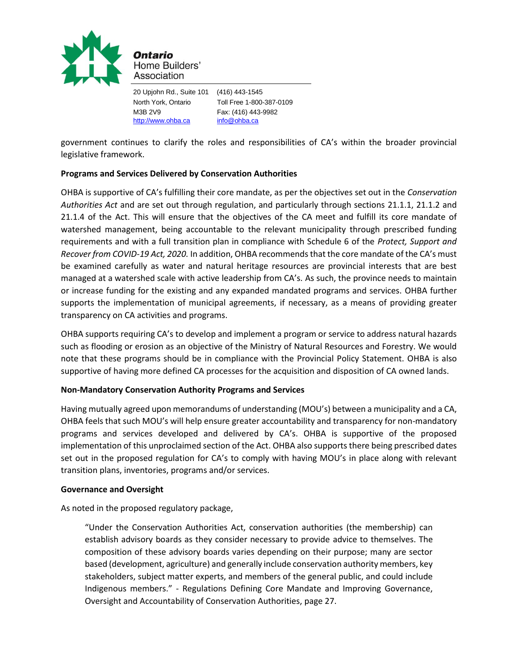

20 Upjohn Rd., Suite 101 (416) 443-1545 North York, Ontario Toll Free 1-800-387-0109 M3B 2V9 Fax: (416) 443-9982 [http://www.ohba.ca](http://www.ohba.ca/) [info@ohba.ca](mailto:info@ohba.ca)

government continues to clarify the roles and responsibilities of CA's within the broader provincial legislative framework.

## **Programs and Services Delivered by Conservation Authorities**

OHBA is supportive of CA's fulfilling their core mandate, as per the objectives set out in the *Conservation Authorities Act* and are set out through regulation, and particularly through sections 21.1.1, 21.1.2 and 21.1.4 of the Act. This will ensure that the objectives of the CA meet and fulfill its core mandate of watershed management, being accountable to the relevant municipality through prescribed funding requirements and with a full transition plan in compliance with Schedule 6 of the *Protect, Support and Recover from COVID-19 Act, 2020.* In addition, OHBA recommends that the core mandate of the CA's must be examined carefully as water and natural heritage resources are provincial interests that are best managed at a watershed scale with active leadership from CA's. As such, the province needs to maintain or increase funding for the existing and any expanded mandated programs and services. OHBA further supports the implementation of municipal agreements, if necessary, as a means of providing greater transparency on CA activities and programs.

OHBA supports requiring CA's to develop and implement a program or service to address natural hazards such as flooding or erosion as an objective of the Ministry of Natural Resources and Forestry. We would note that these programs should be in compliance with the Provincial Policy Statement. OHBA is also supportive of having more defined CA processes for the acquisition and disposition of CA owned lands.

## **Non-Mandatory Conservation Authority Programs and Services**

Having mutually agreed upon memorandums of understanding (MOU's) between a municipality and a CA, OHBA feels that such MOU's will help ensure greater accountability and transparency for non-mandatory programs and services developed and delivered by CA's. OHBA is supportive of the proposed implementation of this unproclaimed section of the Act. OHBA also supports there being prescribed dates set out in the proposed regulation for CA's to comply with having MOU's in place along with relevant transition plans, inventories, programs and/or services.

#### **Governance and Oversight**

As noted in the proposed regulatory package,

"Under the Conservation Authorities Act, conservation authorities (the membership) can establish advisory boards as they consider necessary to provide advice to themselves. The composition of these advisory boards varies depending on their purpose; many are sector based (development, agriculture) and generally include conservation authority members, key stakeholders, subject matter experts, and members of the general public, and could include Indigenous members." - Regulations Defining Core Mandate and Improving Governance, Oversight and Accountability of Conservation Authorities, page 27.